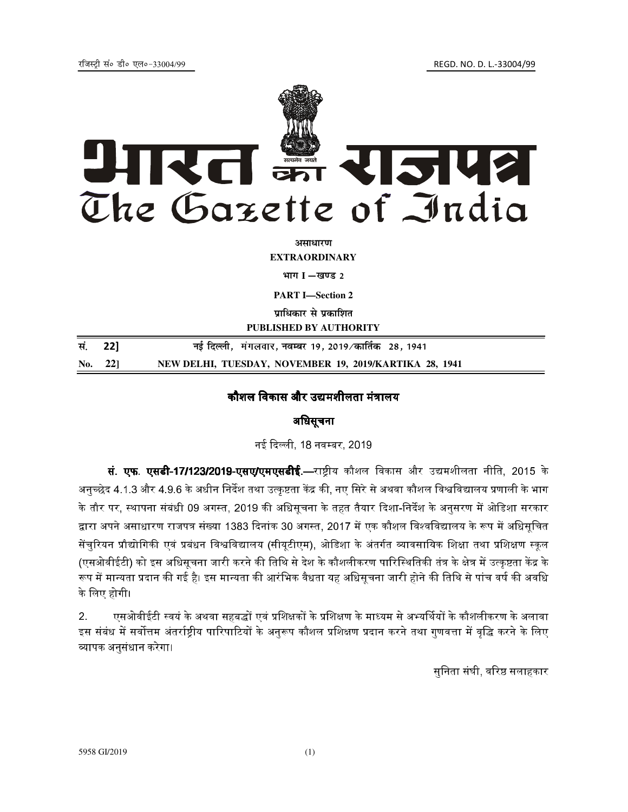REGD. NO. D. L.-33004/99



असाधारण

**EXTRAORDINARY** 

भाग I -खण्ड 2

**PART I**-Section 2

पाधिकार से पकाशित

PUBLISHED BY AUTHORITY

| सं. 22] |                | नई दिल्ली,  मंगलवार, नवम्बर 19, 2019 ⁄ कार्तिक   28, 1941 |
|---------|----------------|-----------------------------------------------------------|
|         | No. 22 $\vert$ | NEW DELHI, TUESDAY, NOVEMBER 19, 2019/KARTIKA 28, 1941    |

## कौशल विकास और उद्यमशीलता मंत्रालय

## अधिसूचना

नई दिल्ली, 18 नवम्बर, 2019

सं. एफ. एसडी-17/123/2019-एसए/एमएसडीई.—राष्ट्रीय कौशल विकास और उद्यमशीलता नीति, 2015 के अनुच्छेद 4.1.3 और 4.9.6 के अधीन निर्देश तथा उत्कृष्टता केंद्र की, नए सिरे से अथवा कौशल विश्वविद्यालय प्रणाली के भाग के तौर पर, स्थापना संबंधी 09 अगस्त, 2019 की अधिसूचना के तहत तैयार दिशा-निर्देश के अनुसरण में ओडिशा सरकार द्वारा अपने असाधारण राजपत्र संख्या 1383 दिनांक 30 अगस्त, 2017 में एक कौशल विश्वविद्यालय के रूप में अधिसचित सेंचुरियन प्रौद्योगिकी एवं प्रबंधन विश्वविद्यालय (सीयूटीएम), ओडिशा के अंतर्गत व्यावसायिक शिक्षा तथा प्रशिक्षण स्कूल (एसओवीईटी) को इस अधिसृचना जारी करने की तिथि से देश के कौशलीकरण पारिस्थितिकी तंत्र के क्षेत्र में उत्कृष्टता केंद्र के रूप में मान्यता प्रदान की गई है। इस मान्यता की आरंभिक वैधता यह अधिसूचना जारी होने की तिथि से पांच वर्ष की अवधि के लिए होगी।

एसओवीईटी स्वयं के अथवा सहबद्धों एवं प्रशिक्षकों के प्रशिक्षण के माध्यम से अभ्यर्थियों के कौशलीकरण के अलावा  $2<sup>1</sup>$ इस संबंध में सर्वोत्तम अंतर्राष्ट्रीय पारिपाटियों के अनुरूप कौशल प्रशिक्षण प्रदान करने तथा गुणवत्ता में वृद्धि करने के लिए व्यापक अनुसंधान करेगा।

सुनिता संघी, वरिष्ठ सलाहकार